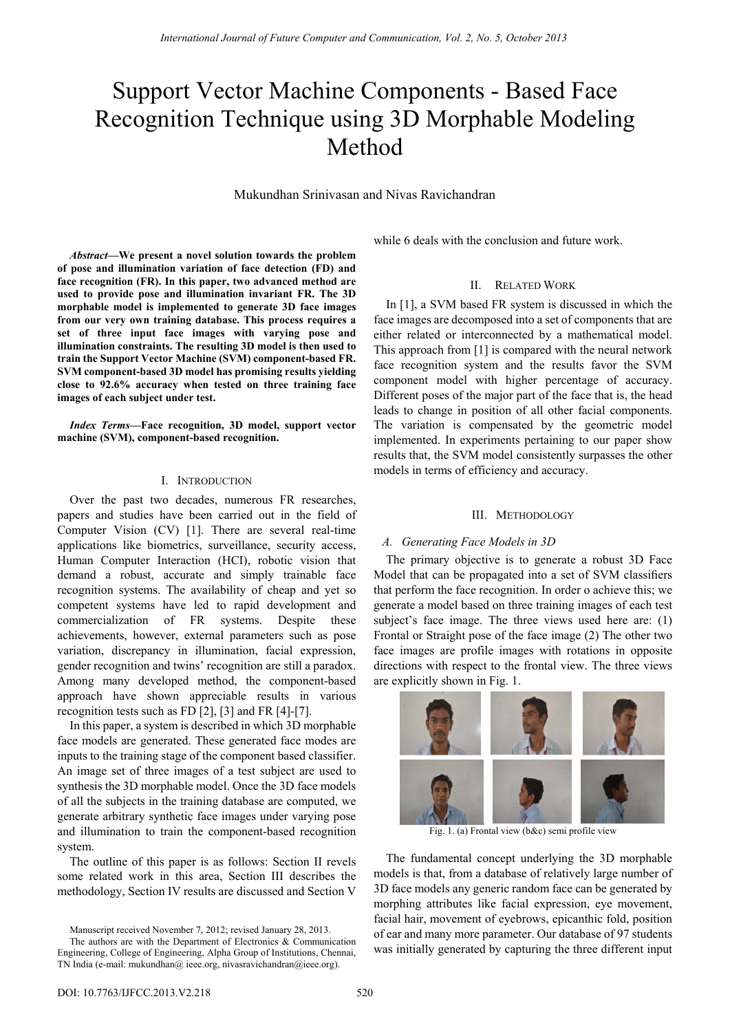# Support Vector Machine Components - Based Face Recognition Technique using 3D Morphable Modeling Method

Mukundhan Srinivasan and Nivas Ravichandran

*Abstract***—We present a novel solution towards the problem of pose and illumination variation of face detection (FD) and face recognition (FR). In this paper, two advanced method are used to provide pose and illumination invariant FR. The 3D morphable model is implemented to generate 3D face images from our very own training database. This process requires a set of three input face images with varying pose and illumination constraints. The resulting 3D model is then used to train the Support Vector Machine (SVM) component-based FR. SVM component-based 3D model has promising results yielding close to 92.6% accuracy when tested on three training face images of each subject under test.** 

*Index Terms***—Face recognition, 3D model, support vector machine (SVM), component-based recognition.** 

## I. INTRODUCTION

Over the past two decades, numerous FR researches, papers and studies have been carried out in the field of Computer Vision (CV) [1]. There are several real-time applications like biometrics, surveillance, security access, Human Computer Interaction (HCI), robotic vision that demand a robust, accurate and simply trainable face recognition systems. The availability of cheap and yet so competent systems have led to rapid development and commercialization of FR systems. Despite these achievements, however, external parameters such as pose variation, discrepancy in illumination, facial expression, gender recognition and twins' recognition are still a paradox. Among many developed method, the component-based approach have shown appreciable results in various recognition tests such as FD [2], [3] and FR [4]-[7].

In this paper, a system is described in which 3D morphable face models are generated. These generated face modes are inputs to the training stage of the component based classifier. An image set of three images of a test subject are used to synthesis the 3D morphable model. Once the 3D face models of all the subjects in the training database are computed, we generate arbitrary synthetic face images under varying pose and illumination to train the component-based recognition system.

The outline of this paper is as follows: Section II revels some related work in this area, Section III describes the methodology, Section IV results are discussed and Section V

Manuscript received November 7, 2012; revised January 28, 2013.

while 6 deals with the conclusion and future work.

## II. RELATED WORK

In [1], a SVM based FR system is discussed in which the face images are decomposed into a set of components that are either related or interconnected by a mathematical model. This approach from [1] is compared with the neural network face recognition system and the results favor the SVM component model with higher percentage of accuracy. Different poses of the major part of the face that is, the head leads to change in position of all other facial components. The variation is compensated by the geometric model implemented. In experiments pertaining to our paper show results that, the SVM model consistently surpasses the other models in terms of efficiency and accuracy.

## III. METHODOLOGY

## *A. Generating Face Models in 3D*

The primary objective is to generate a robust 3D Face Model that can be propagated into a set of SVM classifiers that perform the face recognition. In order o achieve this; we generate a model based on three training images of each test subject's face image. The three views used here are: (1) Frontal or Straight pose of the face image (2) The other two face images are profile images with rotations in opposite directions with respect to the frontal view. The three views are explicitly shown in Fig. 1.



Fig. 1. (a) Frontal view (b&c) semi profile view

The fundamental concept underlying the 3D morphable models is that, from a database of relatively large number of 3D face models any generic random face can be generated by morphing attributes like facial expression, eye movement, facial hair, movement of eyebrows, epicanthic fold, position of ear and many more parameter. Our database of 97 students was initially generated by capturing the three different input

The authors are with the Department of Electronics & Communication Engineering, College of Engineering, Alpha Group of Institutions, Chennai, TN India (e-mail: mukundhan@ ieee.org, nivasravichandran@ieee.org).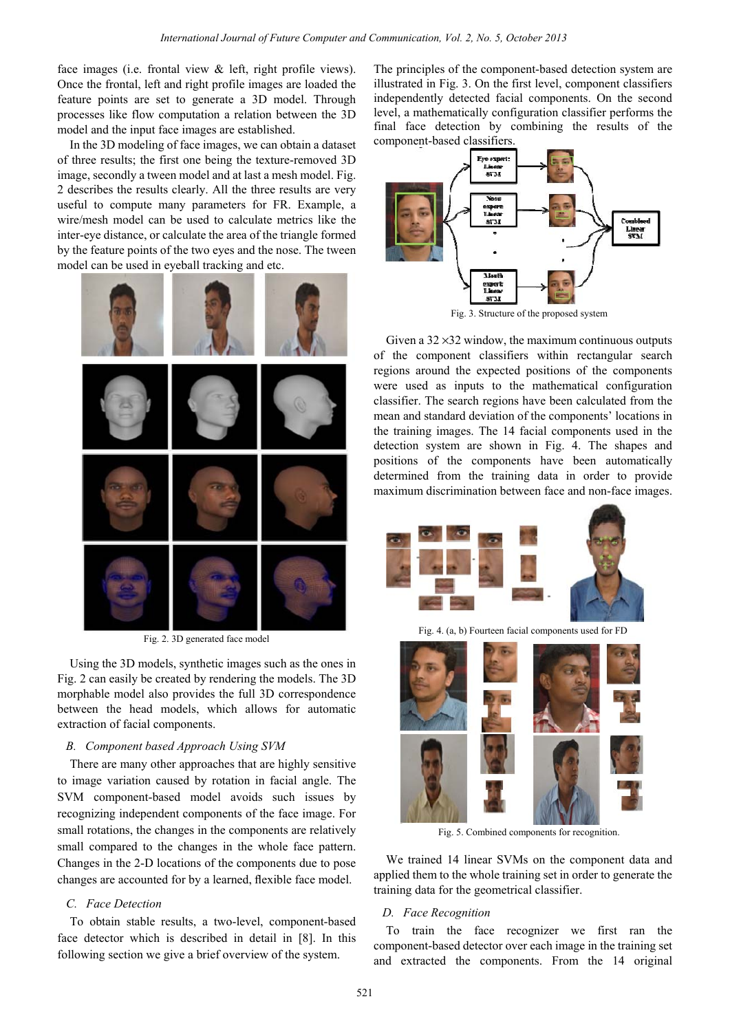face images (i.e. frontal view  $\&$  left, right profile views). Once the frontal, left and right profile images are loaded the feature points are set to generate a 3D model. Through processes like flow computation a relation between the 3D model and the input face images are established.

In the 3D modeling of face images, we can obtain a dataset of three results; the first one being the texture-removed 3D image, secondly a tween model and at last a mesh model. Fig. 2 describes the results clearly. All the three results are very useful to compute many parameters for FR. Example, a wire/mesh model can be used to calculate metrics like the inter-eye distance, or calculate the area of the triangle formed by the feature points of the two eyes and the nose. The tween model can be used in eyeball tracking and etc.



Fig. 2. 3D generated face model

Using the 3D models, synthetic images such as the ones in Fig. 2 can easily be created by rendering the models. The 3D morphable model also provides the full 3D correspondence between the head models, which allows for automatic extraction of facial components.

# *B. Component based Approach Using SVM*

There are many other approaches that are highly sensitive to image variation caused by rotation in facial angle. The SVM component-based model avoids such issues by recognizing independent components of the face image. For small rotations, the changes in the components are relatively small compared to the changes in the whole face pattern. Changes in the 2-D locations of the components due to pose changes are accounted for by a learned, flexible face model.

## *C. Face Detection*

To obtain stable results, a two-level, component-based face detector which is described in detail in [8]. In this following section we give a brief overview of the system.

The principles of the component-based detection system are illustrated in Fig. 3. On the first level, component classifiers independently detected facial components. On the second level, a mathematically configuration classifier performs the final face detection by combining the results of the component-based classifiers.



Fig. 3. Structure of the proposed system

Given a  $32 \times 32$  window, the maximum continuous outputs of the component classifiers within rectangular search regions around the expected positions of the components were used as inputs to the mathematical configuration classifier. The search regions have been calculated from the mean and standard deviation of the components' locations in the training images. The 14 facial components used in the detection system are shown in Fig. 4. The shapes and positions of the components have been automatically determined from the training data in order to provide maximum discrimination between face and non-face images.



Fig. 4. (a, b) Fourteen facial components used for FD



Fig. 5. Combined components for recognition.

We trained 14 linear SVMs on the component data and applied them to the whole training set in order to generate the training data for the geometrical classifier.

## *D. Face Recognition*

To train the face recognizer we first ran the component-based detector over each image in the training set and extracted the components. From the 14 original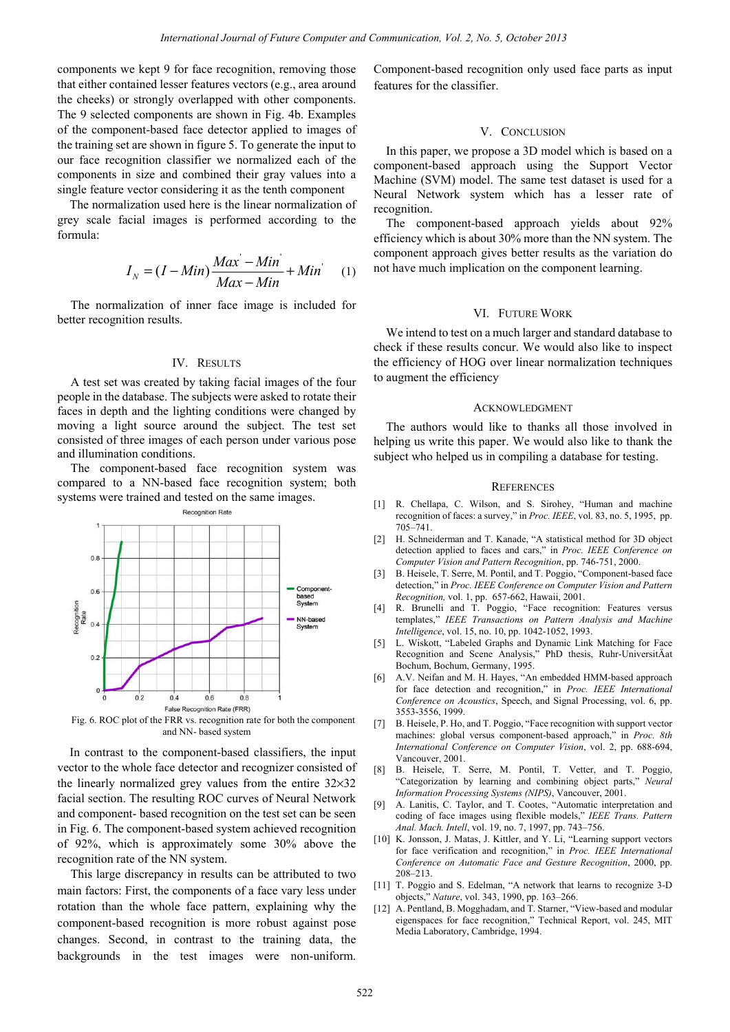components we kept 9 for face recognition, removing those that either contained lesser features vectors (e.g., area around the cheeks) or strongly overlapped with other components. The 9 selected components are shown in Fig. 4b. Examples of the component-based face detector applied to images of the training set are shown in figure 5. To generate the input to our face recognition classifier we normalized each of the components in size and combined their gray values into a single feature vector considering it as the tenth component

The normalization used here is the linear normalization of grey scale facial images is performed according to the formula:

$$
I_N = (I - Min)\frac{Max - Min}{Max - Min} + Min
$$
 (1)

The normalization of inner face image is included for better recognition results.

#### IV. RESULTS

A test set was created by taking facial images of the four people in the database. The subjects were asked to rotate their faces in depth and the lighting conditions were changed by moving a light source around the subject. The test set consisted of three images of each person under various pose and illumination conditions.

The component-based face recognition system was compared to a NN-based face recognition system; both systems were trained and tested on the same images.



Fig. 6. ROC plot of the FRR vs. recognition rate for both the component and NN- based system

In contrast to the component-based classifiers, the input vector to the whole face detector and recognizer consisted of the linearly normalized grey values from the entire 32×32 facial section. The resulting ROC curves of Neural Network and component- based recognition on the test set can be seen in Fig. 6. The component-based system achieved recognition of 92%, which is approximately some 30% above the recognition rate of the NN system.

This large discrepancy in results can be attributed to two main factors: First, the components of a face vary less under rotation than the whole face pattern, explaining why the component-based recognition is more robust against pose changes. Second, in contrast to the training data, the backgrounds in the test images were non-uniform. Component-based recognition only used face parts as input features for the classifier.

## V. CONCLUSION

In this paper, we propose a 3D model which is based on a component-based approach using the Support Vector Machine (SVM) model. The same test dataset is used for a Neural Network system which has a lesser rate of recognition.

The component-based approach yields about 92% efficiency which is about 30% more than the NN system. The component approach gives better results as the variation do not have much implication on the component learning.

#### VI. FUTURE WORK

We intend to test on a much larger and standard database to check if these results concur. We would also like to inspect the efficiency of HOG over linear normalization techniques to augment the efficiency

## ACKNOWLEDGMENT

The authors would like to thanks all those involved in helping us write this paper. We would also like to thank the subject who helped us in compiling a database for testing.

#### **REFERENCES**

- [1] R. Chellapa, C. Wilson, and S. Sirohey, "Human and machine recognition of faces: a survey," in *Proc. IEEE*, vol. 83, no. 5, 1995, pp. 705–741.
- [2] H. Schneiderman and T. Kanade, "A statistical method for 3D object detection applied to faces and cars," in *Proc. IEEE Conference on Computer Vision and Pattern Recognition*, pp. 746-751, 2000.
- [3] B. Heisele, T. Serre, M. Pontil, and T. Poggio, "Component-based face detection," in *Proc. IEEE Conference on Computer Vision and Pattern Recognition,* vol. 1, pp. 657-662, Hawaii, 2001.
- [4] R. Brunelli and T. Poggio, "Face recognition: Features versus templates," *IEEE Transactions on Pattern Analysis and Machine Intelligence*, vol. 15, no. 10, pp. 1042-1052, 1993.
- [5] L. Wiskott, "Labeled Graphs and Dynamic Link Matching for Face Recognition and Scene Analysis," PhD thesis, Ruhr-UniversitÄat Bochum, Bochum, Germany, 1995.
- [6] A.V. Neifan and M. H. Hayes, "An embedded HMM-based approach for face detection and recognition," in *Proc. IEEE International Conference on Acoustics*, Speech, and Signal Processing, vol. 6, pp. 3553-3556, 1999.
- [7] B. Heisele, P. Ho, and T. Poggio, "Face recognition with support vector machines: global versus component-based approach," in *Proc. 8th International Conference on Computer Vision*, vol. 2, pp. 688-694, Vancouver, 2001.
- [8] B. Heisele, T. Serre, M. Pontil, T. Vetter, and T. Poggio, "Categorization by learning and combining object parts," *Neural Information Processing Systems (NIPS)*, Vancouver, 2001.
- [9] A. Lanitis, C. Taylor, and T. Cootes, "Automatic interpretation and coding of face images using flexible models," *IEEE Trans. Pattern Anal. Mach. Intell*, vol. 19, no. 7, 1997, pp. 743–756.
- [10] K. Jonsson, J. Matas, J. Kittler, and Y. Li, "Learning support vectors for face verification and recognition," in *Proc. IEEE International Conference on Automatic Face and Gesture Recognition*, 2000, pp. 208–213.
- [11] T. Poggio and S. Edelman, "A network that learns to recognize 3-D objects," *Nature*, vol. 343, 1990, pp. 163–266.
- [12] A. Pentland, B. Mogghadam, and T. Starner, "View-based and modular eigenspaces for face recognition," Technical Report, vol. 245, MIT Media Laboratory, Cambridge, 1994.